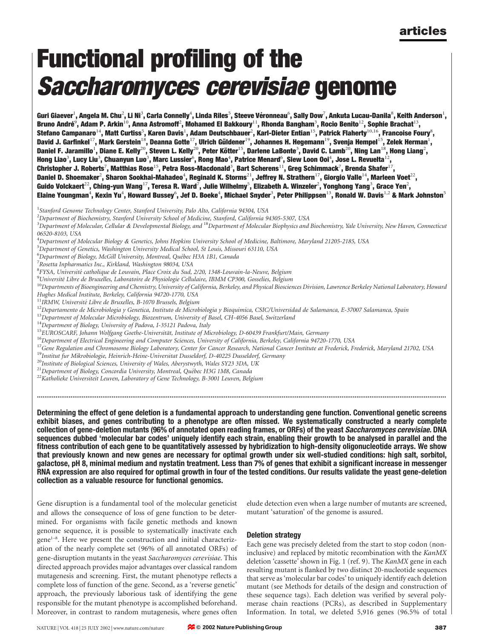# Functional profiling of the Saccharomyces cerevisiae genome

Guri Giaever $^1$ , Angela M. Chu $^2$ , Li Ni $^3$ , Carla Connelly $^4$ , Linda Riles $^5$ , Steeve Véronneau $^6$ , Sally Dow $^7$ , Ankuta Lucau-Danila $^8$ , Keith Anderson $^1$ , Bruno André $^9$ , Adam P. Arkin $^{10}$ , Anna Astromoff $^2$ , Mohamed El Bakkoury $^{11}$ , Rhonda Bangham $^3$ , Rocio Benito $^{12}$ , Sophie Brachat $^{13}$ , Stefano Campanaro $^{14}$ , Matt Curtiss $^5$ , Karen Davis $^1$ , Adam Deutschbauer $^2$ , Karl-Dieter Entian $^{15}$ , Patrick Flaherty $^{10,16}$ , Francoise Foury $^8$ , David J. Garfinkel $^{17}$ , Mark Gerstein $^{18}$ , Deanna Gotte $^{17}$ , Ulrich Güldener $^{19}$ , Johannes H. Hegemann $^{19}$ , Svenja Hempel $^{15}$ , Zelek Herman $^{1}$ , Daniel F. Jaramillo<sup>1</sup>, Diane E. Kelly<sup>20</sup>, Steven L. Kelly<sup>20</sup>, Peter Kötter<sup>15</sup>, Darlene LaBonte<sup>3</sup>, David C. Lamb<sup>20</sup>, Ning Lan<sup>18</sup>, Hong Liang<sup>2</sup>, Hong Liao $^3$ , Lucy Liu $^3$ , Chuanyun Luo $^3$ , Marc Lussier $^6$ , Rong Mao $^4$ , Patrice Menard $^6$ , Siew Loon Ooi $^4$ , Jose L. Revuelta $^{12}$ , Christopher J. Roberts $^7$ , Matthias Rose $^{15}$ , Petra Ross-Macdonald $^3$ , Bart Scherens $^{11}$ , Greg Schimmack $^7$ , Brenda Shafer $^{17}$ , Daniel D. Shoemaker $^2$ , Sharon Sookhai-Mahadeo $^4$ , Reginald K. Storms $^{21}$ , Jeffrey N. Strathern $^{17}$ , Giorgio Valle $^{14}$ , Marleen Voet $^{22}$ , Guido Volckaert $^{22}$ , Ching-yun Wang $^{17}$ , Teresa R. Ward $^{7}$ , Julie Wilhelmy $^5$ , Elizabeth A. Winzeler $^2$ , Yonghong Yang $^3$ , Grace Yen $^2$ , Elaine Youngman $^4$ , Kexin Yu $^4$ , Howard Bussey $^6$ , Jef D. Boeke $^4$ , Michael Snyder $^3$ , Peter Philippsen $^{13}$ , Ronald W. Davis $^{1,2}$  & Mark Johnston $^5$ 

<sup>1</sup>Stanford Genome Technology Center, Stanford University, Palo Alto, California 94304, USA

 $^2$ Department of Biochemistry, Stanford University School of Medicine, Stanford, California 94305-5307, USA

<sup>3</sup> Department of Molecular, Cellular & Developmental Biology, and <sup>18</sup> Department of Molecular Biophysics and Biochemistry, Yale University, New Haven, Connecticut 06520-8103, USA

<sup>4</sup>Department of Molecular Biology & Genetics, Johns Hopkins University School of Medicine, Baltimore, Maryland 21205-2185, USA<br><sup>5</sup>Department of Genetics, Washington University Medical School, St.Lovis, Missouri 63110, USA

<sup>5</sup>Department of Genetics, Washington University Medical School, St Louis, Missouri 63110, USA

<sup>6</sup>Department of Biology, McGill University, Montreal, Québec H3A 1B1, Canada<br><sup>7</sup>Posetta Inpharmatics Inc., Kirkland, Washington 98034, USA

<sup>7</sup> Rosetta Inpharmatics Inc., Kirkland, Washington 98034, USA

- <sup>8</sup>FYSA, Université catholique de Louvain, Place Croix du Sud, 2/20, 1348-Louvain-la-Neuve, Belgium<br><sup>9</sup>Université Libre de Bruxelles, Lehoratoire de Physiologie Cellulaire, IBMM CD300, Cosselies, Belgium
- 

 $^9$ Université Libre de Bruxelles, Laboratoire de Physiologie Cellulaire, IBMM CP300, Gosselies, Belgium<br><sup>10</sup>Departments of Bioengineering and Chemistry, University of California, Berkeley, and Physical Biosciences Divisi

Hughes Medical Institute, Berkeley, California 94720-1770, USA

 $12$ Departamento de Microbiologia y Genetica, Instituto de Microbiologia y Bioquimica, CSIC/Universidad de Salamanca, E-37007 Salamanca, Spain

<sup>13</sup>Department of Molecular Microbiology, Biozentrum, University of Basel, CH-4056 Basel, Switzerland

 $^{14}$ Department of Biology, University of Padova, I-35121 Padova, Italy<br><sup>15</sup>EUROSCARF, Johann Wolfgang Goethe-Universität, Institute of Microbiology, D-60439 Frankfurt/Main, Germany

<sup>16</sup>Department of Electrical Engineering and Computer Sciences, University of California, Berkeley, California 94720-1770, USA

<sup>17</sup>Gene Regulation and Chromosome Biology Laboratory, Center for Cancer Research, National Cancer Institute at Frederick, Frederick, Maryland 21702, USA<br><sup>19</sup>Institut fur Mikrobiologie, Heinrich-Heine-Universitat Dusseldor

<sup>20</sup>Institute of Biological Sciences, University of Wales, Aberystwyth, Wales SY23 3DA, UK<br><sup>21</sup>Department of Biology, Concordia University, Montreal, Québec H3G 1M8, Canada

 $22$ Katholieke Universiteit Leuven, Laboratory of Gene Technology, B-3001 Leuven, Belgium

Determining the effect of gene deletion is a fundamental approach to understanding gene function. Conventional genetic screens exhibit biases, and genes contributing to a phenotype are often missed. We systematically constructed a nearly complete collection of gene-deletion mutants (96% of annotated open reading frames, or ORFs) of the yeast Saccharomyces cerevisiae. DNA sequences dubbed 'molecular bar codes' uniquely identify each strain, enabling their growth to be analysed in parallel and the fitness contribution of each gene to be quantitatively assessed by hybridization to high-density oligonucleotide arrays. We show that previously known and new genes are necessary for optimal growth under six well-studied conditions: high salt, sorbitol, galactose, pH 8, minimal medium and nystatin treatment. Less than 7% of genes that exhibit a significant increase in messenger RNA expression are also required for optimal growth in four of the tested conditions. Our results validate the yeast gene-deletion collection as a valuable resource for functional genomics.

...........................................................................................................................................................................................................................

Gene disruption is a fundamental tool of the molecular geneticist and allows the consequence of loss of gene function to be determined. For organisms with facile genetic methods and known genome sequence, it is possible to systematically inactivate each gene<sup>1-8</sup>. Here we present the construction and initial characterization of the nearly complete set (96% of all annotated ORFs) of gene-disruption mutants in the yeast Saccharomyces cerevisiae. This directed approach provides major advantages over classical random mutagenesis and screening. First, the mutant phenotype reflects a complete loss of function of the gene. Second, as a 'reverse genetic' approach, the previously laborious task of identifying the gene responsible for the mutant phenotype is accomplished beforehand. Moreover, in contrast to random mutagenesis, where genes often

elude detection even when a large number of mutants are screened, mutant 'saturation' of the genome is assured.

## Deletion strategy

Each gene was precisely deleted from the start to stop codon (noninclusive) and replaced by mitotic recombination with the KanMX deletion 'cassette' shown in Fig. 1 (ref. 9). The KanMX gene in each resulting mutant is flanked by two distinct 20-nucleotide sequences that serve as 'molecular bar codes' to uniquely identify each deletion mutant (see Methods for details of the design and construction of these sequence tags). Each deletion was verified by several polymerase chain reactions (PCRs), as described in Supplementary Information. In total, we deleted 5,916 genes (96.5% of total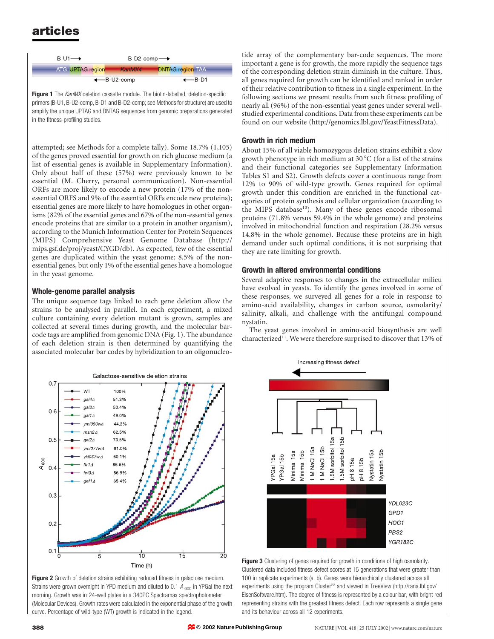

Figure 1 The KanMX deletion cassette module. The biotin-labelled, deletion-specific primers (B-U1, B-U2-comp, B-D1 and B-D2-comp; see Methods for structure) are used to amplify the unique UPTAG and DNTAG sequences from genomic preparations generated in the fitness-profiling studies.

attempted; see Methods for a complete tally). Some 18.7% (1,105) of the genes proved essential for growth on rich glucose medium (a list of essential genes is available in Supplementary Information). Only about half of these (57%) were previously known to be essential (M. Cherry, personal communication). Non-essential ORFs are more likely to encode a new protein (17% of the nonessential ORFS and 9% of the essential ORFs encode new proteins); essential genes are more likely to have homologues in other organisms (82% of the essential genes and 67% of the non-essential genes encode proteins that are similar to a protein in another organism), according to the Munich Information Center for Protein Sequences (MIPS) Comprehensive Yeast Genome Database (http:// mips.gsf.de/proj/yeast/CYGD/db). As expected, few of the essential genes are duplicated within the yeast genome: 8.5% of the nonessential genes, but only 1% of the essential genes have a homologue in the yeast genome.

# Whole-genome parallel analysis

The unique sequence tags linked to each gene deletion allow the strains to be analysed in parallel. In each experiment, a mixed culture containing every deletion mutant is grown, samples are collected at several times during growth, and the molecular barcode tags are amplified from genomic DNA (Fig. 1). The abundance of each deletion strain is then determined by quantifying the associated molecular bar codes by hybridization to an oligonucleo-



Figure 2 Growth of deletion strains exhibiting reduced fitness in galactose medium. Strains were grown overnight in YPD medium and diluted to 0.1  $A_{600}$  in YPGal the next morning. Growth was in 24-well plates in a 340PC Spectramax spectrophotometer (Molecular Devices). Growth rates were calculated in the exponential phase of the growth curve. Percentage of wild-type (WT) growth is indicated in the legend.

tide array of the complementary bar-code sequences. The more important a gene is for growth, the more rapidly the sequence tags of the corresponding deletion strain diminish in the culture. Thus, all genes required for growth can be identified and ranked in order of their relative contribution to fitness in a single experiment. In the following sections we present results from such fitness profiling of nearly all (96%) of the non-essential yeast genes under several wellstudied experimental conditions. Data from these experiments can be found on our website (http://genomics.lbl.gov/YeastFitnessData).

## Growth in rich medium

About 15% of all viable homozygous deletion strains exhibit a slow growth phenotype in rich medium at 30  $^{\circ}$ C (for a list of the strains and their functional categories see Supplementary Information Tables S1 and S2). Growth defects cover a continuous range from 12% to 90% of wild-type growth. Genes required for optimal growth under this condition are enriched in the functional categories of protein synthesis and cellular organization (according to the MIPS database<sup>10</sup>). Many of these genes encode ribosomal proteins (71.8% versus 59.4% in the whole genome) and proteins involved in mitochondrial function and respiration (28.2% versus 14.8% in the whole genome). Because these proteins are in high demand under such optimal conditions, it is not surprising that they are rate limiting for growth.

## Growth in altered environmental conditions

Several adaptive responses to changes in the extracellular milieu have evolved in yeasts. To identify the genes involved in some of these responses, we surveyed all genes for a role in response to amino-acid availability, changes in carbon source, osmolarity/ salinity, alkali, and challenge with the antifungal compound nystatin.

The yeast genes involved in amino-acid biosynthesis are well characterized<sup>11</sup>. We were therefore surprised to discover that 13% of



Figure 3 Clustering of genes required for growth in conditions of high osmolarity. Clustered data included fitness defect scores at 15 generations that were greater than 100 in replicate experiments (a, b). Genes were hierarchically clustered across all experiments using the program Cluster<sup>22</sup> and viewed in TreeView (http://rana.lbl.gov/ EisenSoftware.htm). The degree of fitness is represented by a colour bar, with bright red representing strains with the greatest fitness defect. Each row represents a single gene and its behaviour across all 12 experiments.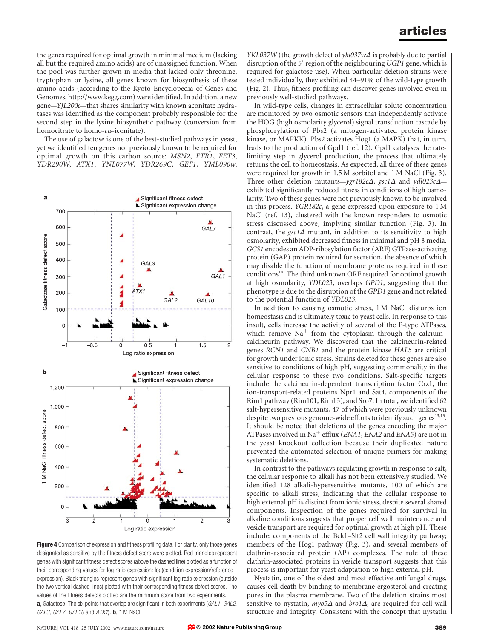the genes required for optimal growth in minimal medium (lacking all but the required amino acids) are of unassigned function. When the pool was further grown in media that lacked only threonine, tryptophan or lysine, all genes known for biosynthesis of these amino acids (according to the Kyoto Encyclopedia of Genes and Genomes, http://www.kegg.com) were identified. In addition, a new gene—YJL200c—that shares similarity with known aconitate hydratases was identified as the component probably responsible for the second step in the lysine biosynthetic pathway (conversion from homocitrate to homo-*cis*-iconitate).

The use of galactose is one of the best-studied pathways in yeast, yet we identified ten genes not previously known to be required for optimal growth on this carbon source: MSN2, FTR1, FET3, YDR290W, ATX1, YNL077W, YDR269C, GEF1, YML090w,



Figure 4 Comparison of expression and fitness profiling data. For clarity, only those genes designated as sensitive by the fitness defect score were plotted. Red triangles represent genes with significant fitness defect scores (above the dashed line) plotted as a function of their corresponding values for log ratio expression: log(condition expression/reference expression). Black triangles represent genes with significant log ratio expression (outside the two vertical dashed lines) plotted with their corresponding fitness defect scores. The values of the fitness defects plotted are the minimum score from two experiments. a, Galactose. The six points that overlap are significant in both experiments (GAL1, GAL2, GAL3, GAL7, GAL10 and  $ATX1$ ). **b**, 1 M NaCl.

*YKL037W* (the growth defect of  $\gamma k l 037 w \Delta$  is probably due to partial disruption of the 5' region of the neighbouring UGP1 gene, which is required for galactose use). When particular deletion strains were tested individually, they exhibited 44–91% of the wild-type growth (Fig. 2). Thus, fitness profiling can discover genes involved even in previously well-studied pathways.

In wild-type cells, changes in extracellular solute concentration are monitored by two osmotic sensors that independently activate the HOG (high osmolarity glycerol) signal transduction cascade by phosphorylation of Pbs2 (a mitogen-activated protein kinase kinase, or MAPKK). Pbs2 activates Hog1 (a MAPK) that, in turn, leads to the production of Gpd1 (ref. 12). Gpd1 catalyses the ratelimiting step in glycerol production, the process that ultimately returns the cell to homeostasis. As expected, all three of these genes were required for growth in 1.5 M sorbitol and 1 M NaCl (Fig. 3). Three other deletion mutants—ygr182c $\Delta$ , gsc1 $\Delta$  and ydl023c $\Delta$  exhibited significantly reduced fitness in conditions of high osmolarity. Two of these genes were not previously known to be involved in this process. YGR182c, a gene expressed upon exposure to 1 M NaCl (ref. 13), clustered with the known responders to osmotic stress discussed above, implying similar function (Fig. 3). In contrast, the  $\text{gsc1}\Delta$  mutant, in addition to its sensitivity to high osmolarity, exhibited decreased fitness in minimal and pH 8 media. GCS1 encodes an ADP-ribosylation factor (ARF) GTPase-activating protein (GAP) protein required for secretion, the absence of which may disable the function of membrane proteins required in these conditions<sup>14</sup>. The third unknown ORF required for optimal growth at high osmolarity, YDL023, overlaps GPD1, suggesting that the phenotype is due to the disruption of the GPD1 gene and not related to the potential function of YDL023.

In addition to causing osmotic stress, 1 M NaCl disturbs ion homeostasis and is ultimately toxic to yeast cells. In response to this insult, cells increase the activity of several of the P-type ATPases, which remove  $Na<sup>+</sup>$  from the cytoplasm through the calcium– calcineurin pathway. We discovered that the calcineurin-related genes RCN1 and CNB1 and the protein kinase HAL5 are critical for growth under ionic stress. Strains deleted for these genes are also sensitive to conditions of high pH, suggesting commonality in the cellular response to these two conditions. Salt-specific targets include the calcineurin-dependent transcription factor Crz1, the ion-transport-related proteins Npr1 and Sat4, components of the Rim1 pathway (Rim101, Rim13), and Sro7. In total, we identified 62 salt-hypersensitive mutants, 47 of which were previously unknown despite two previous genome-wide efforts to identify such genes $^{13,15}$ . It should be noted that deletions of the genes encoding the major ATPases involved in Na<sup>+</sup> efflux (*ENA1*, *ENA2* and *ENA5*) are not in the yeast knockout collection because their duplicated nature prevented the automated selection of unique primers for making systematic deletions.

In contrast to the pathways regulating growth in response to salt, the cellular response to alkali has not been extensively studied. We identified 128 alkali-hypersensitive mutants, 100 of which are specific to alkali stress, indicating that the cellular response to high external pH is distinct from ionic stress, despite several shared components. Inspection of the genes required for survival in alkaline conditions suggests that proper cell wall maintenance and vesicle transport are required for optimal growth at high pH. These include: components of the Bck1–Slt2 cell wall integrity pathway; members of the Hog1 pathway (Fig. 3), and several members of clathrin-associated protein (AP) complexes. The role of these clathrin-associated proteins in vesicle transport suggests that this process is important for yeast adaptation to high external pH.

Nystatin, one of the oldest and most effective antifungal drugs, causes cell death by binding to membrane ergosterol and creating pores in the plasma membrane. Two of the deletion strains most sensitive to nystatin,  $mpo5\Delta$  and  $bro1\Delta$ , are required for cell wall structure and integrity. Consistent with the concept that nystatin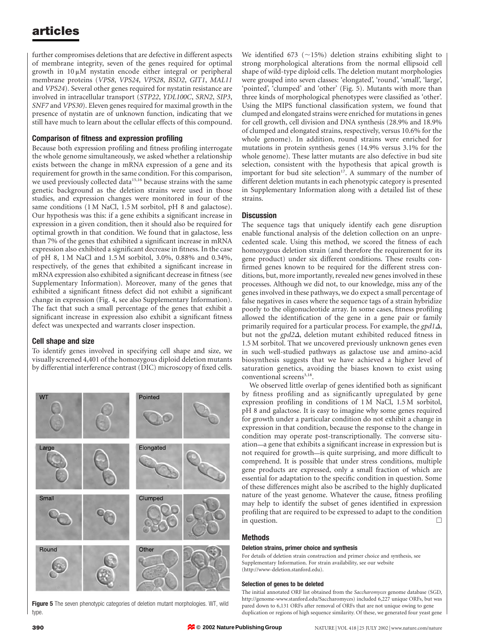further compromises deletions that are defective in different aspects of membrane integrity, seven of the genes required for optimal growth in  $10 \mu M$  nystatin encode either integral or peripheral membrane proteins (VPS8, VPS24, VPS28, BSD2, GIT1, MAL11 and VPS24). Several other genes required for nystatin resistance are involved in intracellular transport (STP22, YDL100C, SRN2, SIP3, SNF7 and VPS30). Eleven genes required for maximal growth in the presence of nystatin are of unknown function, indicating that we still have much to learn about the cellular effects of this compound.

# Comparison of fitness and expression profiling

Because both expression profiling and fitness profiling interrogate the whole genome simultaneously, we asked whether a relationship exists between the change in mRNA expression of a gene and its requirement for growth in the same condition. For this comparison, we used previously collected data<sup>15,16</sup> because strains with the same genetic background as the deletion strains were used in those studies, and expression changes were monitored in four of the same conditions (1 M NaCl, 1.5 M sorbitol, pH 8 and galactose). Our hypothesis was this: if a gene exhibits a significant increase in expression in a given condition, then it should also be required for optimal growth in that condition. We found that in galactose, less than 7% of the genes that exhibited a significant increase in mRNA expression also exhibited a significant decrease in fitness. In the case of pH 8, 1 M NaCl and 1.5 M sorbitol, 3.0%, 0.88% and 0.34%, respectively, of the genes that exhibited a significant increase in mRNA expression also exhibited a significant decrease in fitness (see Supplementary Information). Moreover, many of the genes that exhibited a significant fitness defect did not exhibit a significant change in expression (Fig. 4, see also Supplementary Information). The fact that such a small percentage of the genes that exhibit a significant increase in expression also exhibit a significant fitness defect was unexpected and warrants closer inspection.

## Cell shape and size

To identify genes involved in specifying cell shape and size, we visually screened 4,401 of the homozygous diploid deletion mutants by differential interference contrast (DIC) microscopy of fixed cells.



**Figure 5** The seven phenotypic categories of deletion mutant morphologies. WT, wild type.

We identified 673 ( $\sim$ 15%) deletion strains exhibiting slight to strong morphological alterations from the normal ellipsoid cell shape of wild-type diploid cells. The deletion mutant morphologies were grouped into seven classes: 'elongated', 'round', 'small', 'large', 'pointed', 'clumped' and 'other' (Fig. 5). Mutants with more than three kinds of morphological phenotypes were classified as 'other'. Using the MIPS functional classification system, we found that clumped and elongated strains were enriched for mutations in genes for cell growth, cell division and DNA synthesis (28.9% and 18.9% of clumped and elongated strains, respectively, versus 10.6% for the whole genome). In addition, round strains were enriched for mutations in protein synthesis genes (14.9% versus 3.1% for the whole genome). These latter mutants are also defective in bud site selection, consistent with the hypothesis that apical growth is important for bud site selection<sup>17</sup>. A summary of the number of different deletion mutants in each phenotypic category is presented in Supplementary Information along with a detailed list of these strains.

# **Discussion**

The sequence tags that uniquely identify each gene disruption enable functional analysis of the deletion collection on an unprecedented scale. Using this method, we scored the fitness of each homozygous deletion strain (and therefore the requirement for its gene product) under six different conditions. These results confirmed genes known to be required for the different stress conditions, but, more importantly, revealed new genes involved in these processes. Although we did not, to our knowledge, miss any of the genes involved in these pathways, we do expect a small percentage of false negatives in cases where the sequence tags of a strain hybridize poorly to the oligonucleotide array. In some cases, fitness profiling allowed the identification of the gene in a gene pair or family primarily required for a particular process. For example, the  $gpd1\Delta$ , but not the  $gpd2\Delta$ , deletion mutant exhibited reduced fitness in 1.5 M sorbitol. That we uncovered previously unknown genes even in such well-studied pathways as galactose use and amino-acid biosynthesis suggests that we have achieved a higher level of saturation genetics, avoiding the biases known to exist using conventional screens<sup>3,18</sup>.

We observed little overlap of genes identified both as significant by fitness profiling and as significantly upregulated by gene expression profiling in conditions of 1 M NaCl, 1.5 M sorbitol, pH 8 and galactose. It is easy to imagine why some genes required for growth under a particular condition do not exhibit a change in expression in that condition, because the response to the change in condition may operate post-transcriptionally. The converse situation—a gene that exhibits a significant increase in expression but is not required for growth—is quite surprising, and more difficult to comprehend. It is possible that under stress conditions, multiple gene products are expressed, only a small fraction of which are essential for adaptation to the specific condition in question. Some of these differences might also be ascribed to the highly duplicated nature of the yeast genome. Whatever the cause, fitness profiling may help to identify the subset of genes identified in expression profiling that are required to be expressed to adapt to the condition in question.  $\Box$ 

#### Methods

#### Deletion strains, primer choice and synthesis

For details of deletion strain construction and primer choice and synthesis, see Supplementary Information. For strain availability, see our website (http://www-deletion.stanford.edu).

#### Selection of genes to be deleted

The initial annotated ORF list obtained from the Saccharomyces genome database (SGD, http://genome-www.stanford.edu/Saccharomyces) included 6,227 unique ORFs, but was pared down to 6,131 ORFs after removal of ORFs that are not unique owing to gene duplication or regions of high sequence similarity. Of these, we generated four yeast gene